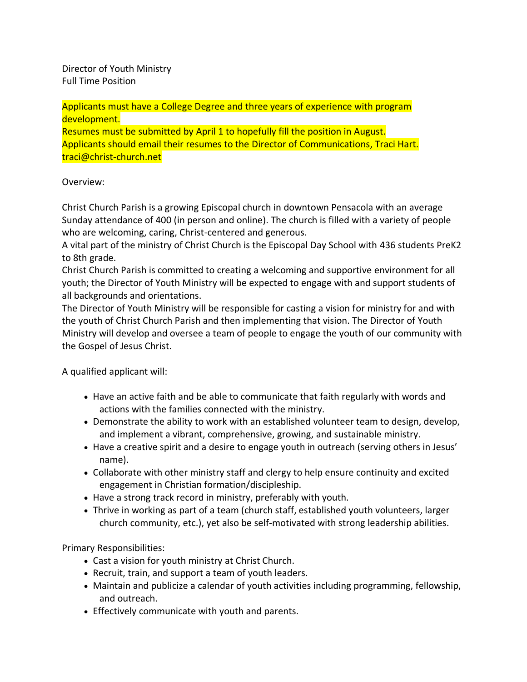Director of Youth Ministry Full Time Position

Applicants must have a College Degree and three years of experience with program development.

Resumes must be submitted by April 1 to hopefully fill the position in August. Applicants should email their resumes to the Director of Communications, Traci Hart. traci@christ-church.net

## Overview:

Christ Church Parish is a growing Episcopal church in downtown Pensacola with an average Sunday attendance of 400 (in person and online). The church is filled with a variety of people who are welcoming, caring, Christ-centered and generous.

A vital part of the ministry of Christ Church is the Episcopal Day School with 436 students PreK2 to 8th grade.

Christ Church Parish is committed to creating a welcoming and supportive environment for all youth; the Director of Youth Ministry will be expected to engage with and support students of all backgrounds and orientations.

The Director of Youth Ministry will be responsible for casting a vision for ministry for and with the youth of Christ Church Parish and then implementing that vision. The Director of Youth Ministry will develop and oversee a team of people to engage the youth of our community with the Gospel of Jesus Christ.

A qualified applicant will:

- Have an active faith and be able to communicate that faith regularly with words and actions with the families connected with the ministry.
- Demonstrate the ability to work with an established volunteer team to design, develop, and implement a vibrant, comprehensive, growing, and sustainable ministry.
- Have a creative spirit and a desire to engage youth in outreach (serving others in Jesus' name).
- Collaborate with other ministry staff and clergy to help ensure continuity and excited engagement in Christian formation/discipleship.
- Have a strong track record in ministry, preferably with youth.
- Thrive in working as part of a team (church staff, established youth volunteers, larger church community, etc.), yet also be self-motivated with strong leadership abilities.

Primary Responsibilities:

- Cast a vision for youth ministry at Christ Church.
- Recruit, train, and support a team of youth leaders.
- Maintain and publicize a calendar of youth activities including programming, fellowship, and outreach.
- Effectively communicate with youth and parents.